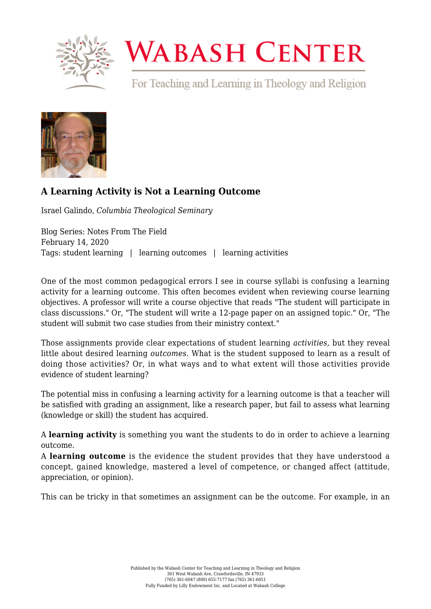

## **WABASH CENTER**

For Teaching and Learning in Theology and Religion



## **[A Learning Activity is Not a Learning Outcome](https://www.wabashcenter.wabash.edu/2020/02/a-learning-activity-is-not-a-learning-outcome/)**

Israel Galindo, *Columbia Theological Seminary*

Blog Series: Notes From The Field February 14, 2020 Tags: student learning | learning outcomes | learning activities

One of the most common pedagogical errors I see in course syllabi is confusing a learning activity for a learning outcome. This often becomes evident when reviewing course learning objectives. A professor will write a course objective that reads "The student will participate in class discussions." Or, "The student will write a 12-page paper on an assigned topic." Or, "The student will submit two case studies from their ministry context."

Those assignments provide clear expectations of student learning *activities,* but they reveal little about desired learning *outcomes.* What is the student supposed to learn as a result of doing those activities? Or, in what ways and to what extent will those activities provide evidence of student learning?

The potential miss in confusing a learning activity for a learning outcome is that a teacher will be satisfied with grading an assignment, like a research paper, but fail to assess what learning (knowledge or skill) the student has acquired.

A **learning activity** is something you want the students to do in order to achieve a learning outcome.

A **learning outcome** is the evidence the student provides that they have understood a concept, gained knowledge, mastered a level of competence, or changed affect (attitude, appreciation, or opinion).

This can be tricky in that sometimes an assignment can be the outcome. For example, in an